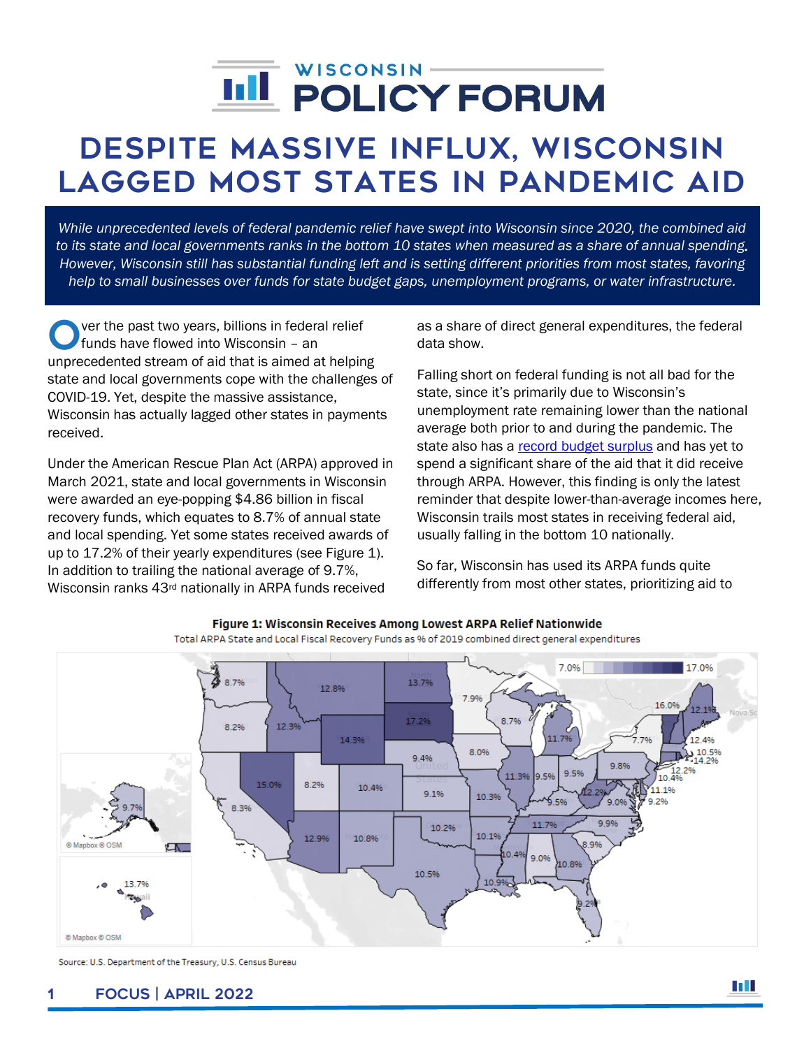# $\overline{a}$

## Despite massive influx, Wisconsin lagged most states in pandemic aid

*While unprecedented levels of federal pandemic relief have swept into Wisconsin since 2020, the combined aid to its state and local governments ranks in the bottom 10 states when measured as a share of annual spending. However, Wisconsin still has substantial funding left and is setting different priorities from most states, favoring help to small businesses over funds for state budget gaps, unemployment programs, or water infrastructure.*

ver the past two years, billions in federal relief funds have flowed into Wisconsin – an O ver the past two years, billions in federal relief<br>funds have flowed into Wisconsin - an<br>unprecedented stream of aid that is aimed at helping state and local governments cope with the challenges of COVID-19. Yet, despite the massive assistance, Wisconsin has actually lagged other states in payments received.

Under the American Rescue Plan Act (ARPA) approved in March 2021, state and local governments in Wisconsin were awarded an eye-popping \$4.86 billion in fiscal recovery funds, which equates to 8.7% of annual state and local spending. Yet some states received awards of up to 17.2% of their yearly expenditures (see Figure 1). In addition to trailing the national average of 9.7%, Wisconsin ranks 43rd nationally in ARPA funds received

as a share of direct general expenditures, the federal data show.

Falling short on federal funding is not all bad for the state, since it's primarily due to Wisconsin's unemployment rate remaining lower than the national average both prior to and during the pandemic. The state also has a [record budget surplus](https://wispolicyforum.org/research/could-surplus-help-improve-state-local-relations/) and has yet to spend a significant share of the aid that it did receive through ARPA. However, this finding is only the latest reminder that despite lower-than-average incomes here, Wisconsin trails most states in receiving federal aid, usually falling in the bottom 10 nationally.

So far, Wisconsin has used its ARPA funds quite differently from most other states, prioritizing aid to



Figure 1: Wisconsin Receives Among Lowest ARPA Relief Nationwide

Total ARPA State and Local Fiscal Recovery Funds as % of 2019 combined direct general expenditures

Source: U.S. Department of the Treasury, U.S. Census Bureau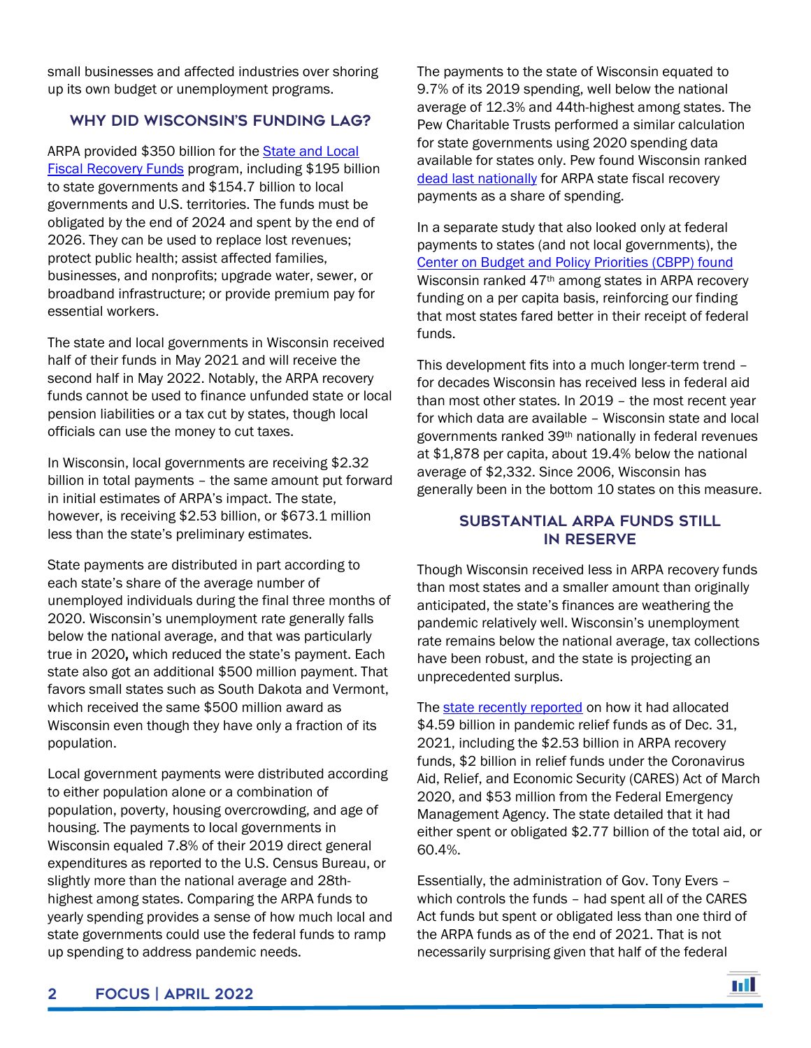small businesses and affected industries over shoring up its own budget or unemployment programs.

### WHY DID WISCONSIN'S FUNDING LAG?

ARPA provided \$350 billion for the **State and Local** [Fiscal Recovery Funds](https://home.treasury.gov/policy-issues/coronavirus/assistance-for-state-local-and-tribal-governments/state-and-local-fiscal-recovery-funds) program, including \$195 billion to state governments and \$154.7 billion to local governments and U.S. territories. The funds must be obligated by the end of 2024 and spent by the end of 2026. They can be used to replace lost revenues; protect public health; assist affected families, businesses, and nonprofits; upgrade water, sewer, or broadband infrastructure; or provide premium pay for essential workers.

The state and local governments in Wisconsin received half of their funds in May 2021 and will receive the second half in May 2022. Notably, the ARPA recovery funds cannot be used to finance unfunded state or local pension liabilities or a tax cut by states, though local officials can use the money to cut taxes.

In Wisconsin, local governments are receiving \$2.32 billion in total payments – the same amount put forward in initial estimates of ARPA's impact. The state, however, is receiving \$2.53 billion, or \$673.1 million less than the state's preliminary estimates.

State payments are distributed in part according to each state's share of the average number of unemployed individuals during the final three months of 2020. Wisconsin's unemployment rate generally falls below the national average, and that was particularly true in 2020, which reduced the state's payment. Each state also got an additional \$500 million payment. That favors small states such as South Dakota and Vermont, which received the same \$500 million award as Wisconsin even though they have only a fraction of its population.

Local government payments were distributed according to either population alone or a combination of population, poverty, housing overcrowding, and age of housing. The payments to local governments in Wisconsin equaled 7.8% of their 2019 direct general expenditures as reported to the U.S. Census Bureau, or slightly more than the national average and 28thhighest among states. Comparing the ARPA funds to yearly spending provides a sense of how much local and state governments could use the federal funds to ramp up spending to address pandemic needs.

The payments to the state of Wisconsin equated to 9.7% of its 2019 spending, well below the national average of 12.3% and 44th-highest among states. The Pew Charitable Trusts performed a similar calculation for state governments using 2020 spending data available for states only. Pew found Wisconsin ranked [dead last nationally](file:///G:/Shared%20drives/Research/Focus/2022/Focus%20%23XX-2022%20Federal%20Aid%20Update/Reference/How%20Far%20American%20Rescue%20Plan%20Dollars%20Will%20Stretch%20Varies%20by%20State%20_%20The%20Pew%20Charitable%20Trusts.html) for ARPA state fiscal recovery payments as a share of spending.

In a separate study that also looked only at federal payments to states (and not local governments), the Center on [Budget and Policy Priorities \(CBPP\) found](https://www.cbpp.org/research/state-budget-and-tax/how-states-can-best-use-federal-fiscal-recovery-funds-lessons-from) Wisconsin ranked 47th among states in ARPA recovery funding on a per capita basis, reinforcing our finding that most states fared better in their receipt of federal funds.

This development fits into a much longer-term trend – for decades Wisconsin has received less in federal aid than most other states. In 2019 – the most recent year for which data are available – Wisconsin state and local governments ranked 39th nationally in federal revenues at \$1,878 per capita, about 19.4% below the national average of \$2,332. Since 2006, Wisconsin has generally been in the bottom 10 states on this measure.

#### Substantial ARPA funds still in reserve

Though Wisconsin received less in ARPA recovery funds than most states and a smaller amount than originally anticipated, the state's finances are weathering the pandemic relatively well. Wisconsin's unemployment rate remains below the national average, tax collections have been robust, and the state is projecting an unprecedented surplus.

The [state recently reported](chrome-extension://efaidnbmnnnibpcajpcglclefindmkaj/viewer.html?pdfurl=https%3A%2F%2Fcontent.govdelivery.com%2Fattachments%2FWIGOV%2F2022%2F02%2F02%2Ffile_attachments%2F2065315%2FEvers%2520Administration_Federal%2520Aid.pdf&clen=27048&chunk=true) on how it had allocated \$4.59 billion in pandemic relief funds as of Dec. 31, 2021, including the \$2.53 billion in ARPA recovery funds, \$2 billion in relief funds under the Coronavirus Aid, Relief, and Economic Security (CARES) Act of March 2020, and \$53 million from the Federal Emergency Management Agency. The state detailed that it had either spent or obligated \$2.77 billion of the total aid, or 60.4%.

Essentially, the administration of Gov. Tony Evers – which controls the funds – had spent all of the CARES Act funds but spent or obligated less than one third of the ARPA funds as of the end of 2021. That is not necessarily surprising given that half of the federal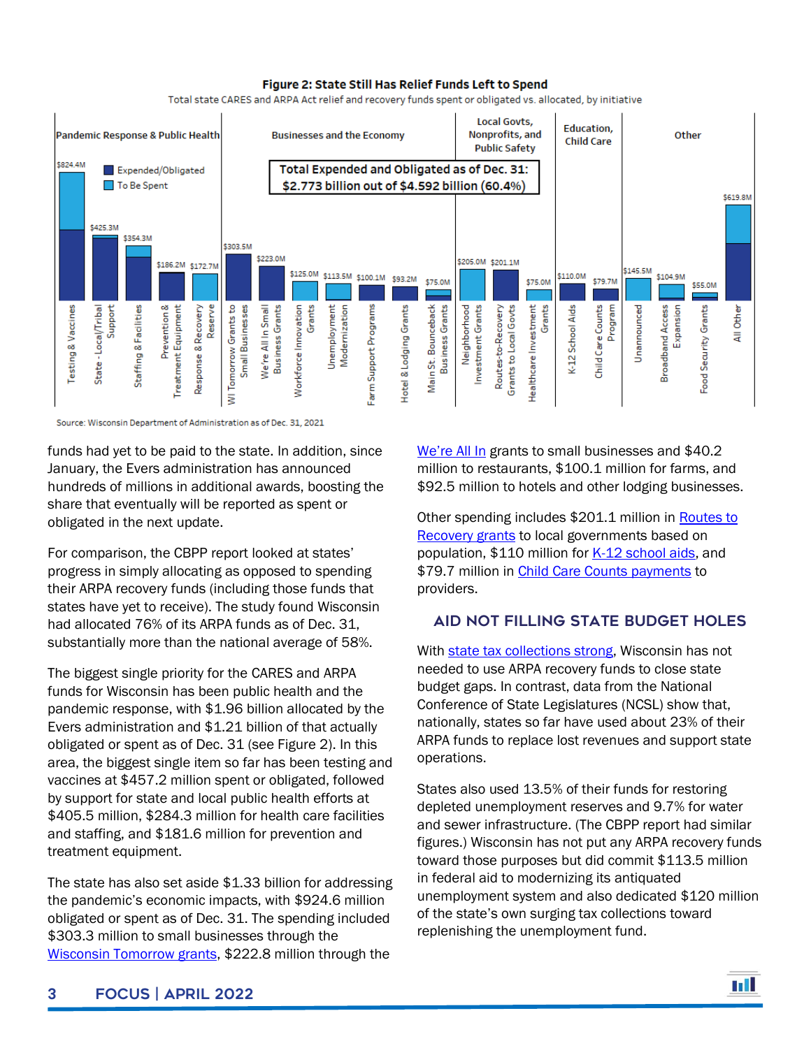#### Figure 2: State Still Has Relief Funds Left to Spend

Total state CARES and ARPA Act relief and recovery funds spent or obligated vs. allocated, by initiative



Source: Wisconsin Department of Administration as of Dec. 31, 2021

funds had yet to be paid to the state. In addition, since January, the Evers administration has announced hundreds of millions in additional awards, boosting the share that eventually will be reported as spent or obligated in the next update.

For comparison, the CBPP report looked at states' progress in simply allocating as opposed to spending their ARPA recovery funds (including those funds that states have yet to receive). The study found Wisconsin had allocated 76% of its ARPA funds as of Dec. 31, substantially more than the national average of 58%.

The biggest single priority for the CARES and ARPA funds for Wisconsin has been public health and the pandemic response, with \$1.96 billion allocated by the Evers administration and \$1.21 billion of that actually obligated or spent as of Dec. 31 (see Figure 2). In this area, the biggest single item so far has been testing and vaccines at \$457.2 million spent or obligated, followed by support for state and local public health efforts at \$405.5 million, \$284.3 million for health care facilities and staffing, and \$181.6 million for prevention and treatment equipment.

The state has also set aside \$1.33 billion for addressing the pandemic's economic impacts, with \$924.6 million obligated or spent as of Dec. 31. The spending included \$303.3 million to small businesses through the [Wisconsin Tomorrow grants,](https://www.revenue.wi.gov/Pages/TaxPro/2021/WisconsinTomorrowSmallBusinessRecoveryGrant.aspx) \$222.8 million through the

[We're All In](https://www.revenue.wi.gov/Pages/FAQS/SmallBusinessGrantProgram.aspx) grants to small businesses and \$40.2 million to restaurants, \$100.1 million for farms, and \$92.5 million to hotels and other lodging businesses.

Other spending includes \$201.1 million in Routes to [Recovery grants](https://doa.wi.gov/Pages/LocalGovtsGrants/COVID-Grants.aspx#:~:text=Routes%20to%20Recovery%3A%E2%80%8B%E2%80%8B%20Local%20Government%20Aid%20Grants%E2%80%8B&text=Administered%20by%20the%20Department%20of,%E2%80%8B%20and%20federally%20recognized%20tribe.) to local governments based on population, \$110 million for [K-12 school aids,](chrome-extension://efaidnbmnnnibpcajpcglclefindmkaj/viewer.html?pdfurl=https%3A%2F%2Fdocs.legis.wisconsin.gov%2Fmisc%2Flfb%2Fmisc%2F174_school_aid_funding_from_the_federal_coronavirus_relief_fund_12_16_21.pdf&clen=194800&pdffilename=174%20-%20School%20Aid%20Funding%20from%20the%20Federal%20Coronavirus%20Relief%20Fund%20(12/16/21).pdf) and \$79.7 million in [Child Care Counts payments](https://dcf.wisconsin.gov/covid-19/childcare/payments) to providers.

### Aid not filling state budget holes

With [state tax collections strong,](https://wispolicyforum.org/research/could-surplus-help-improve-state-local-relations/) Wisconsin has not needed to use ARPA recovery funds to close state budget gaps. In contrast, data from the National Conference of State Legislatures (NCSL) show that, nationally, states so far have used about 23% of their ARPA funds to replace lost revenues and support state operations.

States also used 13.5% of their funds for restoring depleted unemployment reserves and 9.7% for water and sewer infrastructure. (The CBPP report had similar figures.) Wisconsin has not put any ARPA recovery funds toward those purposes but did commit \$113.5 million in federal aid to modernizing its antiquated unemployment system and also dedicated \$120 million of the state's own surging tax collections toward replenishing the unemployment fund.